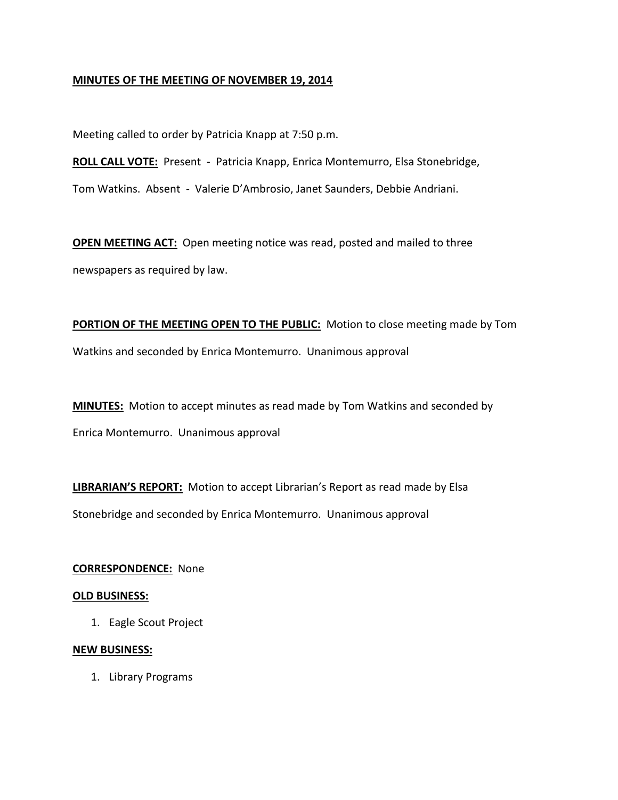## **MINUTES OF THE MEETING OF NOVEMBER 19, 2014**

Meeting called to order by Patricia Knapp at 7:50 p.m.

**ROLL CALL VOTE:** Present - Patricia Knapp, Enrica Montemurro, Elsa Stonebridge,

Tom Watkins. Absent - Valerie D'Ambrosio, Janet Saunders, Debbie Andriani.

**OPEN MEETING ACT:** Open meeting notice was read, posted and mailed to three newspapers as required by law.

**PORTION OF THE MEETING OPEN TO THE PUBLIC:** Motion to close meeting made by Tom Watkins and seconded by Enrica Montemurro. Unanimous approval

**MINUTES:** Motion to accept minutes as read made by Tom Watkins and seconded by Enrica Montemurro. Unanimous approval

**LIBRARIAN'S REPORT:** Motion to accept Librarian's Report as read made by Elsa Stonebridge and seconded by Enrica Montemurro. Unanimous approval

#### **CORRESPONDENCE:** None

#### **OLD BUSINESS:**

1. Eagle Scout Project

#### **NEW BUSINESS:**

1. Library Programs